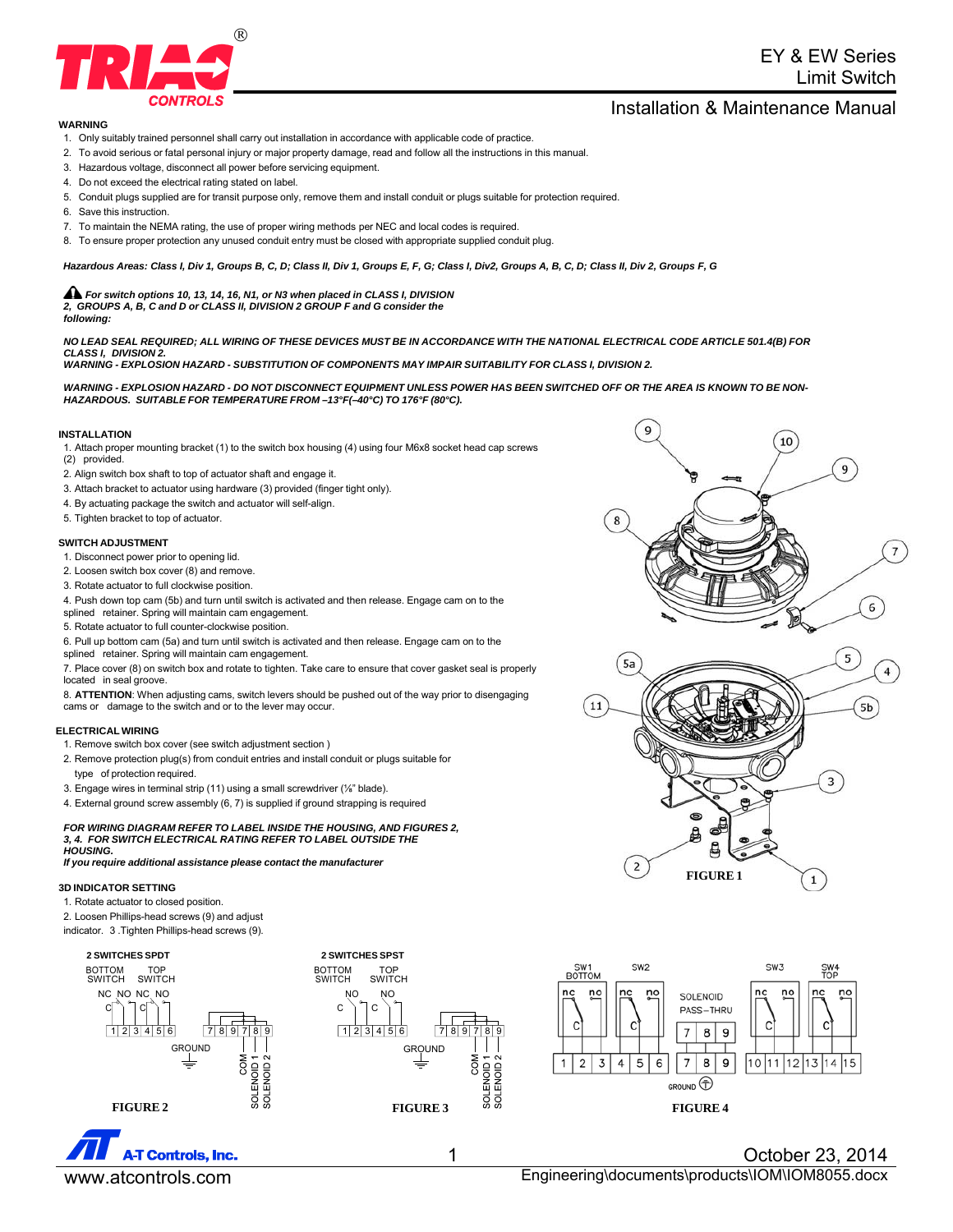

# EY & EW Series Limit Switch

## Installation & Maintenance Manual

#### **WARNING**

- 1. Only suitably trained personnel shall carry out installation in accordance with applicable code of practice.
- 2. To avoid serious or fatal personal injury or major property damage, read and follow all the instructions in this manual.
- 3. Hazardous voltage, disconnect all power before servicing equipment.
- 4. Do not exceed the electrical rating stated on label.
- 5. Conduit plugs supplied are for transit purpose only, remove them and install conduit or plugs suitable for protection required.
- 6. Save this instruction.
- 7. To maintain the NEMA rating, the use of proper wiring methods per NEC and local codes is required.
- 8. To ensure proper protection any unused conduit entry must be closed with appropriate supplied conduit plug.

#### *Hazardous Areas: Class I, Div 1, Groups B, C, D; Class II, Div 1, Groups E, F, G; Class I, Div2, Groups A, B, C, D; Class II, Div 2, Groups F, G*

*For switch options 10, 13, 14, 16, N1, or N3 when placed in CLASS I, DIVISION 2, GROUPS A, B, C and D or CLASS II, DIVISION 2 GROUP F and G consider the following:*

*NO LEAD SEAL REQUIRED; ALL WIRING OF THESE DEVICES MUST BE IN ACCORDANCE WITH THE NATIONAL ELECTRICAL CODE ARTICLE 501.4(B) FOR CLASS I, DIVISION 2.*

*WARNING - EXPLOSION HAZARD - SUBSTITUTION OF COMPONENTS MAY IMPAIR SUITABILITY FOR CLASS I, DIVISION 2.*

*WARNING - EXPLOSION HAZARD - DO NOT DISCONNECT EQUIPMENT UNLESS POWER HAS BEEN SWITCHED OFF OR THE AREA IS KNOWN TO BE NON-HAZARDOUS. SUITABLE FOR TEMPERATURE FROM –13°F(–40°C) TO 176°F (80°C).*

#### **INSTALLATION**

1. Attach proper mounting bracket (1) to the switch box housing (4) using four M6x8 socket head cap screws (2) provided.

- 2. Align switch box shaft to top of actuator shaft and engage it.
- 3. Attach bracket to actuator using hardware (3) provided (finger tight only).
- 4. By actuating package the switch and actuator will self-align.
- 5. Tighten bracket to top of actuator.

#### **SWITCH ADJUSTMENT**

- 1. Disconnect power prior to opening lid.
- 2. Loosen switch box cover (8) and remove.
- 3. Rotate actuator to full clockwise position.
- 4. Push down top cam (5b) and turn until switch is activated and then release. Engage cam on to the
- splined retainer. Spring will maintain cam engagement.
- 5. Rotate actuator to full counter-clockwise position.

6. Pull up bottom cam (5a) and turn until switch is activated and then release. Engage cam on to the splined retainer. Spring will maintain cam engagement.

7. Place cover (8) on switch box and rotate to tighten. Take care to ensure that cover gasket seal is properly located in seal groove.

8. **ATTENTION**: When adjusting cams, switch levers should be pushed out of the way prior to disengaging cams or damage to the switch and or to the lever may occur.

#### **ELECTRICAL WIRING**

- 1. Remove switch box cover (see switch adjustment section )
- 2. Remove protection plug(s) from conduit entries and install conduit or plugs suitable for type of protection required.
- 3. Engage wires in terminal strip (11) using a small screwdriver (⅛" blade).
- 4. External ground screw assembly (6, 7) is supplied if ground strapping is required

#### *FOR WIRING DIAGRAM REFER TO LABEL INSIDE THE HOUSING, AND FIGURES 2, 3, 4. FOR SWITCH ELECTRICAL RATING REFER TO LABEL OUTSIDE THE HOUSING.*

*If you require additional assistance please contact the manufacturer*

### **3D INDICATOR SETTING**

1. Rotate actuator to closed position.

- 2. Loosen Phillips-head screws (9) and adjust
- indicator. 3 .Tighten Phillips-head screws (9).







**FIGURE 1**

 $\mathbf{1}$ 

 $\mathbf 2$ 

д

1 October 23, 2014 www.atcontrols.com example and the Engineering\documents\products\IOM\IOM8055.docx